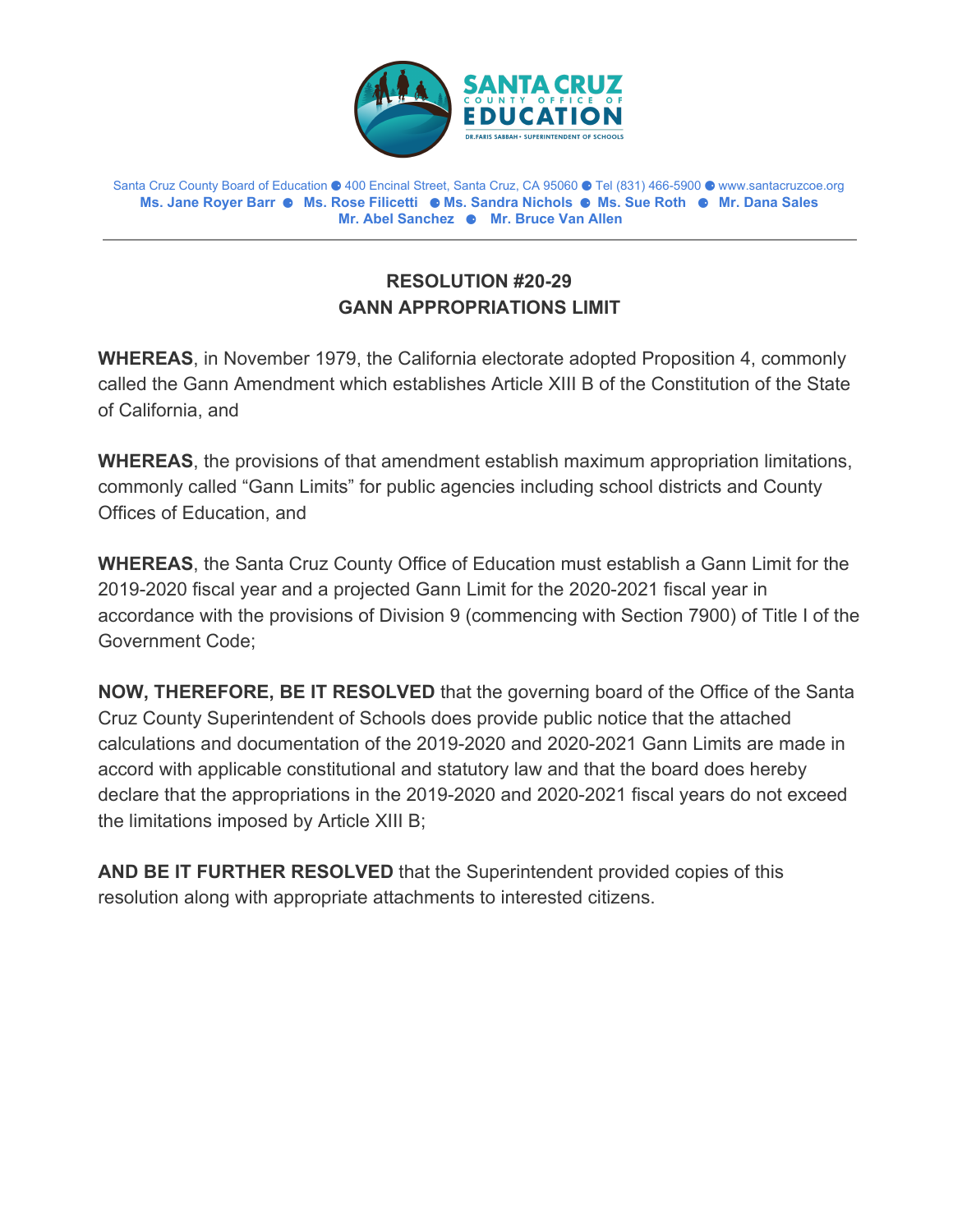

 **Ms. Jane Royer Barr** ⚈ **Ms. Rose Filicetti** ⚈ **Ms. Sandra Nichols** ⚈ **Ms. Sue Roth** ⚈ **Mr. Dana Sales Mr. Abel Sanchez** ⚈ **Mr. Bruce Van Allen** Santa Cruz County Board of Education ⚈ 400 Encinal Street, Santa Cruz, CA 95060 ⚈ Tel (831) 466-5900 ⚈ <www.santacruzcoe.org>

## **RESOLUTION #20-29 GANN APPROPRIATIONS LIMIT**

**WHEREAS**, in November 1979, the California electorate adopted Proposition 4, commonly called the Gann Amendment which establishes Article XIII B of the Constitution of the State of California, and

**WHEREAS**, the provisions of that amendment establish maximum appropriation limitations, commonly called "Gann Limits" for public agencies including school districts and County Offices of Education, and

**WHEREAS**, the Santa Cruz County Office of Education must establish a Gann Limit for the 2019-2020 fiscal year and a projected Gann Limit for the 2020-2021 fiscal year in accordance with the provisions of Division 9 (commencing with Section 7900) of Title I of the Government Code;

**NOW, THEREFORE, BE IT RESOLVED** that the governing board of the Office of the Santa Cruz County Superintendent of Schools does provide public notice that the attached calculations and documentation of the 2019-2020 and 2020-2021 Gann Limits are made in accord with applicable constitutional and statutory law and that the board does hereby declare that the appropriations in the 2019-2020 and 2020-2021 fiscal years do not exceed the limitations imposed by Article XIII B;

**AND BE IT FURTHER RESOLVED** that the Superintendent provided copies of this resolution along with appropriate attachments to interested citizens.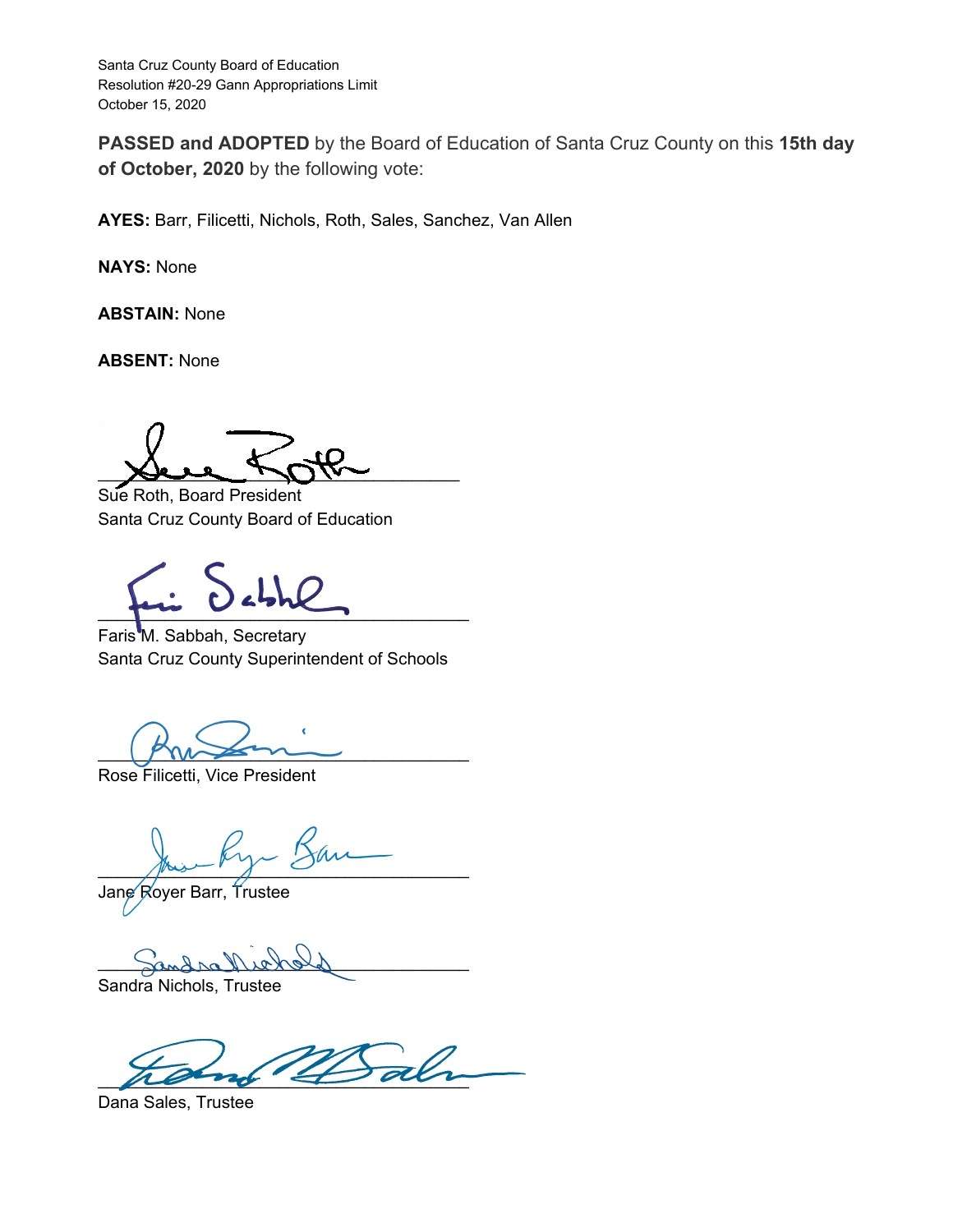**PASSED and ADOPTED** by the Board of Education of Santa Cruz County on this **15th day of October, 2020** by the following vote:

**AYES:** Barr, Filicetti, Nichols, Roth, Sales, Sanchez, Van Allen

**NAYS:** None

**ABSTAIN:** None

**ABSENT:** None

 $\chi$  bere  $\eta$ 

Sue Roth, Board President Santa Cruz County Board of Education

\_\_\_\_\_\_\_\_\_\_\_\_\_\_\_\_\_\_\_\_\_\_\_\_\_\_\_\_\_\_\_\_\_\_\_\_\_\_\_

Faris M. Sabbah, Secretary Santa Cruz County Superintendent of Schools

 $\mathbb{P}$ 

Rose Filicetti, Vice President

 $\frac{1}{\sqrt{2}}$ 

Jane Royer Barr, Trustee

 $\frac{1}{2}$  behold

Sandra Nichols, Trustee

 $\overline{\mathscr{A}}$ 

Dana Sales, Trustee